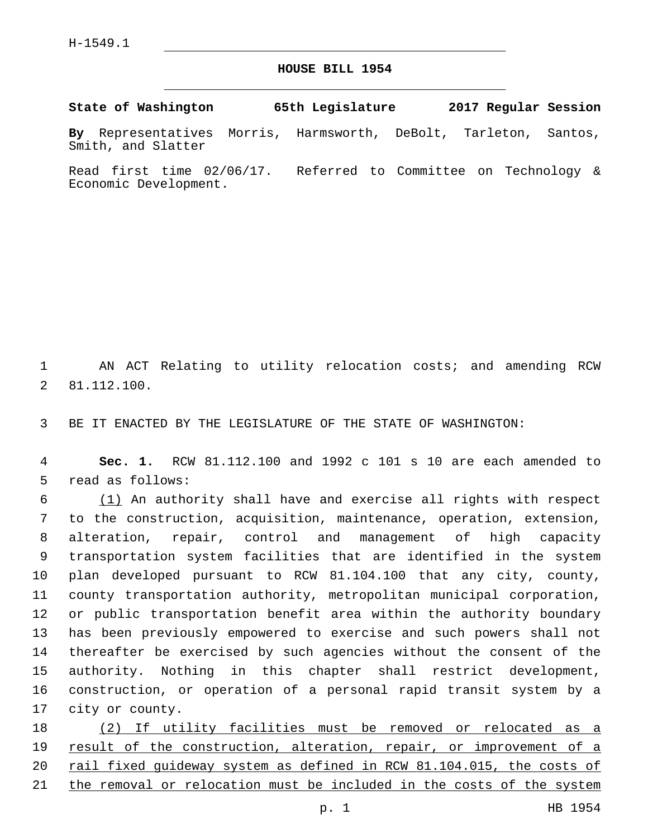## **HOUSE BILL 1954**

**State of Washington 65th Legislature 2017 Regular Session**

**By** Representatives Morris, Harmsworth, DeBolt, Tarleton, Santos, Smith, and Slatter

Read first time 02/06/17. Referred to Committee on Technology & Economic Development.

1 AN ACT Relating to utility relocation costs; and amending RCW 81.112.100.2

3 BE IT ENACTED BY THE LEGISLATURE OF THE STATE OF WASHINGTON:

4 **Sec. 1.** RCW 81.112.100 and 1992 c 101 s 10 are each amended to 5 read as follows:

 (1) An authority shall have and exercise all rights with respect to the construction, acquisition, maintenance, operation, extension, alteration, repair, control and management of high capacity transportation system facilities that are identified in the system plan developed pursuant to RCW 81.104.100 that any city, county, county transportation authority, metropolitan municipal corporation, or public transportation benefit area within the authority boundary has been previously empowered to exercise and such powers shall not thereafter be exercised by such agencies without the consent of the authority. Nothing in this chapter shall restrict development, construction, or operation of a personal rapid transit system by a 17 city or county.

 (2) If utility facilities must be removed or relocated as a result of the construction, alteration, repair, or improvement of a rail fixed guideway system as defined in RCW 81.104.015, the costs of 21 the removal or relocation must be included in the costs of the system